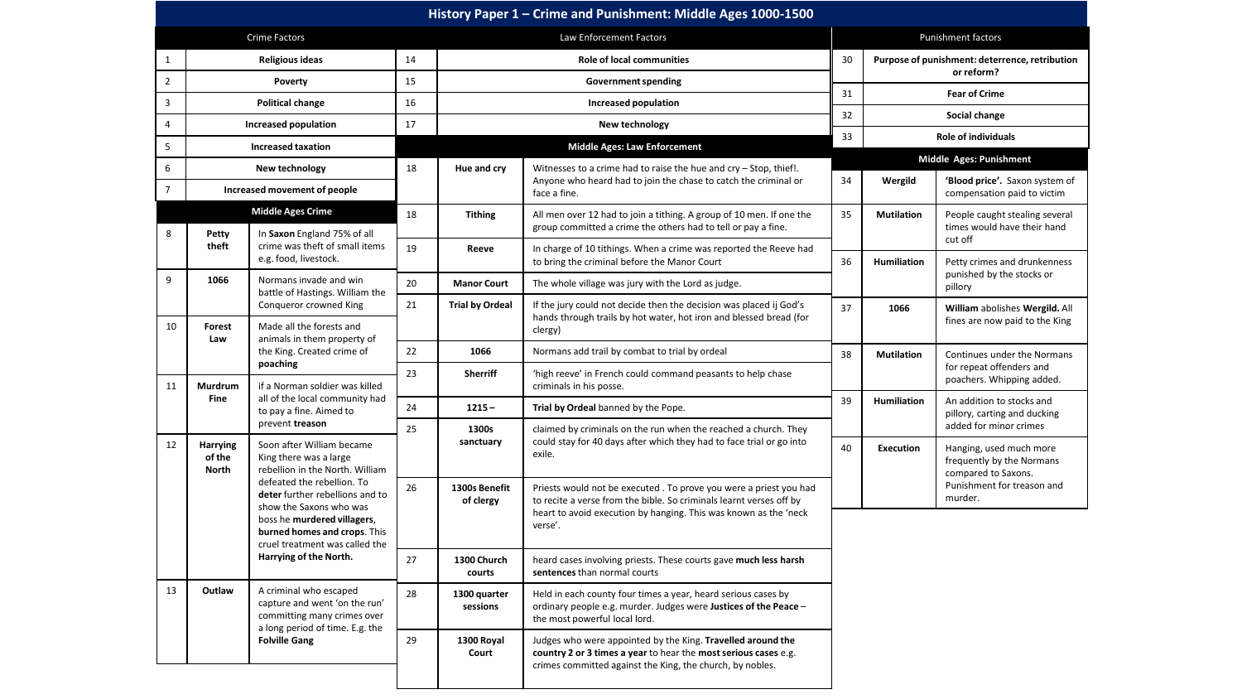| History Paper 1 - Crime and Punishment: Middle Ages 1000-1500 |                                                         |                                                                                                                                                                                                                                                                                                               |    |                                                                                 |                                                                                                                                                                                                                         |                    |                                                |                                                                             |  |
|---------------------------------------------------------------|---------------------------------------------------------|---------------------------------------------------------------------------------------------------------------------------------------------------------------------------------------------------------------------------------------------------------------------------------------------------------------|----|---------------------------------------------------------------------------------|-------------------------------------------------------------------------------------------------------------------------------------------------------------------------------------------------------------------------|--------------------|------------------------------------------------|-----------------------------------------------------------------------------|--|
|                                                               |                                                         | <b>Crime Factors</b>                                                                                                                                                                                                                                                                                          |    |                                                                                 | Law Enforcement Factors                                                                                                                                                                                                 | Punishment factors |                                                |                                                                             |  |
| $\mathbf{1}$                                                  | Religious ideas                                         |                                                                                                                                                                                                                                                                                                               |    | <b>Role of local communities</b>                                                |                                                                                                                                                                                                                         |                    | Purpose of punishment: deterrence, retribution |                                                                             |  |
| $\overline{2}$                                                | Poverty                                                 |                                                                                                                                                                                                                                                                                                               |    | <b>Government spending</b>                                                      |                                                                                                                                                                                                                         |                    |                                                | or reform?                                                                  |  |
| 3                                                             | <b>Political change</b>                                 |                                                                                                                                                                                                                                                                                                               |    |                                                                                 | Increased population                                                                                                                                                                                                    | 31                 | <b>Fear of Crime</b>                           |                                                                             |  |
| 4                                                             |                                                         | Increased population                                                                                                                                                                                                                                                                                          | 17 |                                                                                 | New technology                                                                                                                                                                                                          | 32                 | Social change                                  |                                                                             |  |
| 5                                                             | <b>Increased taxation</b>                               |                                                                                                                                                                                                                                                                                                               |    |                                                                                 | <b>Middle Ages: Law Enforcement</b>                                                                                                                                                                                     | 33                 | <b>Role of individuals</b>                     |                                                                             |  |
| 6                                                             | New technology                                          |                                                                                                                                                                                                                                                                                                               | 18 | Hue and cry                                                                     | Witnesses to a crime had to raise the hue and cry - Stop, thief!.                                                                                                                                                       |                    |                                                | Middle Ages: Punishment                                                     |  |
| $\overline{7}$                                                | Increased movement of people                            |                                                                                                                                                                                                                                                                                                               |    | Anyone who heard had to join the chase to catch the criminal or<br>face a fine. |                                                                                                                                                                                                                         | 34                 | Wergild                                        | 'Blood price'. Saxon system of<br>compensation paid to victim               |  |
|                                                               |                                                         | <b>Middle Ages Crime</b>                                                                                                                                                                                                                                                                                      | 18 | <b>Tithing</b>                                                                  | All men over 12 had to join a tithing. A group of 10 men. If one the                                                                                                                                                    | 35                 | <b>Mutilation</b>                              | People caught stealing several<br>times would have their hand<br>cut off    |  |
| 8                                                             | Petty                                                   | In Saxon England 75% of all                                                                                                                                                                                                                                                                                   |    |                                                                                 | group committed a crime the others had to tell or pay a fine.                                                                                                                                                           |                    |                                                |                                                                             |  |
|                                                               | theft                                                   | crime was theft of small items<br>e.g. food, livestock.                                                                                                                                                                                                                                                       | 19 | Reeve                                                                           | In charge of 10 tithings. When a crime was reported the Reeve had<br>to bring the criminal before the Manor Court                                                                                                       | 36                 | <b>Humiliation</b>                             | Petty crimes and drunkenness<br>punished by the stocks or<br>pillory        |  |
| 9                                                             | 1066                                                    | Normans invade and win<br>battle of Hastings. William the                                                                                                                                                                                                                                                     | 20 | <b>Manor Court</b>                                                              | The whole village was jury with the Lord as judge.                                                                                                                                                                      |                    |                                                |                                                                             |  |
| 10                                                            | Forest                                                  | Conqueror crowned King<br>Made all the forests and                                                                                                                                                                                                                                                            | 21 | <b>Trial by Ordeal</b>                                                          | If the jury could not decide then the decision was placed ij God's<br>hands through trails by hot water, hot iron and blessed bread (for<br>clergy)                                                                     | 37                 | 1066                                           | William abolishes Wergild. All<br>fines are now paid to the King            |  |
|                                                               | Law                                                     | animals in them property of<br>the King. Created crime of                                                                                                                                                                                                                                                     | 22 | 1066                                                                            | Normans add trail by combat to trial by ordeal                                                                                                                                                                          | 38                 | <b>Mutilation</b>                              | Continues under the Normans                                                 |  |
| 11                                                            | Murdrum                                                 | poaching<br>if a Norman soldier was killed                                                                                                                                                                                                                                                                    | 23 | <b>Sherriff</b>                                                                 | 'high reeve' in French could command peasants to help chase<br>criminals in his posse.                                                                                                                                  |                    |                                                | for repeat offenders and<br>poachers. Whipping added.                       |  |
|                                                               | <b>Fine</b>                                             | all of the local community had<br>to pay a fine. Aimed to<br>prevent treason                                                                                                                                                                                                                                  | 24 | $1215 -$                                                                        | Trial by Ordeal banned by the Pope.                                                                                                                                                                                     | 39                 | <b>Humiliation</b>                             | An addition to stocks and<br>pillory, carting and ducking                   |  |
|                                                               |                                                         |                                                                                                                                                                                                                                                                                                               | 25 | 1300s                                                                           | claimed by criminals on the run when the reached a church. They                                                                                                                                                         |                    |                                                | added for minor crimes                                                      |  |
| 12                                                            | <b>Harrying</b><br>of the<br><b>North</b>               | Soon after William became<br>King there was a large<br>rebellion in the North. William<br>defeated the rebellion. To<br>deter further rebellions and to<br>show the Saxons who was<br>boss he murdered villagers,<br>burned homes and crops. This<br>cruel treatment was called the<br>Harrying of the North. |    | sanctuary                                                                       | could stay for 40 days after which they had to face trial or go into<br>exile.                                                                                                                                          | 40                 | <b>Execution</b>                               | Hanging, used much more<br>frequently by the Normans<br>compared to Saxons. |  |
|                                                               |                                                         |                                                                                                                                                                                                                                                                                                               | 26 | 1300s Benefit<br>of clergy                                                      | Priests would not be executed. To prove you were a priest you had<br>to recite a verse from the bible. So criminals learnt verses off by<br>heart to avoid execution by hanging. This was known as the 'neck<br>verse'. |                    |                                                | Punishment for treason and<br>murder.                                       |  |
|                                                               |                                                         |                                                                                                                                                                                                                                                                                                               | 27 | 1300 Church<br>courts                                                           | heard cases involving priests. These courts gave much less harsh<br>sentences than normal courts                                                                                                                        |                    |                                                |                                                                             |  |
| 13                                                            | Outlaw                                                  | A criminal who escaped<br>capture and went 'on the run'<br>committing many crimes over                                                                                                                                                                                                                        | 28 | 1300 quarter<br>sessions                                                        | Held in each county four times a year, heard serious cases by<br>ordinary people e.g. murder. Judges were Justices of the Peace -<br>the most powerful local lord.                                                      |                    |                                                |                                                                             |  |
|                                                               | a long period of time. E.g. the<br><b>Folville Gang</b> |                                                                                                                                                                                                                                                                                                               | 29 | 1300 Royal<br>Court                                                             | Judges who were appointed by the King. Travelled around the<br>country 2 or 3 times a year to hear the most serious cases e.g.<br>crimes committed against the King, the church, by nobles.                             |                    |                                                |                                                                             |  |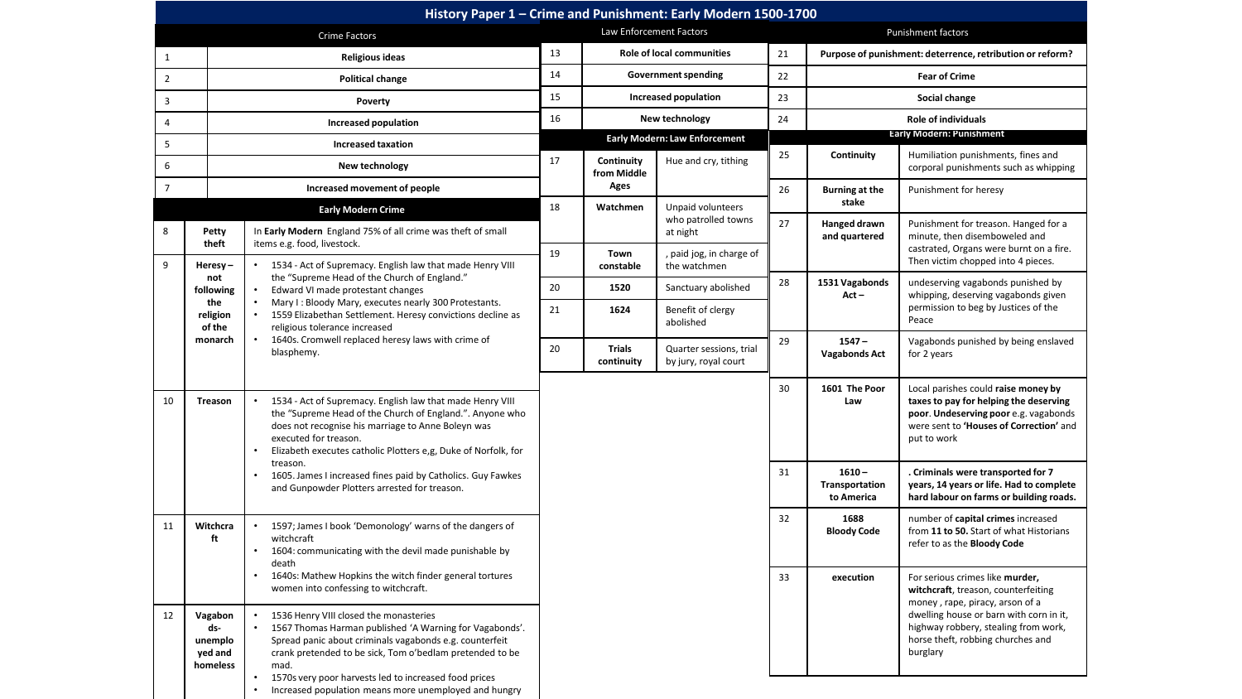| History Paper 1 - Crime and Punishment: Early Modern 1500-1700 |                                                                                                                         |                                                                                                                                                                                                                                                                                                                     |                            |                                                                                |                                          |                      |                                                           |                                                                                                                                                                                                                                                                                     |  |  |
|----------------------------------------------------------------|-------------------------------------------------------------------------------------------------------------------------|---------------------------------------------------------------------------------------------------------------------------------------------------------------------------------------------------------------------------------------------------------------------------------------------------------------------|----------------------------|--------------------------------------------------------------------------------|------------------------------------------|----------------------|-----------------------------------------------------------|-------------------------------------------------------------------------------------------------------------------------------------------------------------------------------------------------------------------------------------------------------------------------------------|--|--|
| <b>Crime Factors</b>                                           |                                                                                                                         |                                                                                                                                                                                                                                                                                                                     | Law Enforcement Factors    |                                                                                |                                          |                      | Punishment factors                                        |                                                                                                                                                                                                                                                                                     |  |  |
| $\mathbf{1}$                                                   | <b>Religious ideas</b>                                                                                                  |                                                                                                                                                                                                                                                                                                                     | 13                         | <b>Role of local communities</b>                                               |                                          | 21                   | Purpose of punishment: deterrence, retribution or reform? |                                                                                                                                                                                                                                                                                     |  |  |
| $\overline{2}$<br><b>Political change</b>                      |                                                                                                                         | 14                                                                                                                                                                                                                                                                                                                  | <b>Government spending</b> |                                                                                | 22                                       | <b>Fear of Crime</b> |                                                           |                                                                                                                                                                                                                                                                                     |  |  |
| $\overline{3}$                                                 |                                                                                                                         | Poverty                                                                                                                                                                                                                                                                                                             | 15                         | Increased population                                                           |                                          |                      | Social change                                             |                                                                                                                                                                                                                                                                                     |  |  |
| $\overline{4}$                                                 |                                                                                                                         | Increased population                                                                                                                                                                                                                                                                                                |                            | New technology                                                                 |                                          |                      | <b>Role of individuals</b>                                |                                                                                                                                                                                                                                                                                     |  |  |
| 5                                                              |                                                                                                                         | <b>Increased taxation</b>                                                                                                                                                                                                                                                                                           |                            |                                                                                | <b>Early Modern: Law Enforcement</b>     |                      | <b>Early Modern: Punishment</b>                           |                                                                                                                                                                                                                                                                                     |  |  |
| 6                                                              |                                                                                                                         | New technology                                                                                                                                                                                                                                                                                                      |                            | Continuity<br>from Middle                                                      | Hue and cry, tithing                     | 25                   | Continuity                                                | Humiliation punishments, fines and<br>corporal punishments such as whipping                                                                                                                                                                                                         |  |  |
| $\overline{7}$                                                 | Increased movement of people                                                                                            |                                                                                                                                                                                                                                                                                                                     |                            | Ages                                                                           |                                          | 26                   | <b>Burning at the</b>                                     | Punishment for heresy                                                                                                                                                                                                                                                               |  |  |
|                                                                |                                                                                                                         | <b>Early Modern Crime</b>                                                                                                                                                                                                                                                                                           |                            | Watchmen                                                                       | Unpaid volunteers                        |                      | stake                                                     |                                                                                                                                                                                                                                                                                     |  |  |
| 8                                                              | Petty<br>theft                                                                                                          | In Early Modern England 75% of all crime was theft of small                                                                                                                                                                                                                                                         |                            |                                                                                | who patrolled towns<br>at night          | 27                   | Hanged drawn<br>and quartered                             | Punishment for treason. Hanged for a<br>minute, then disemboweled and<br>castrated, Organs were burnt on a fire.<br>Then victim chopped into 4 pieces.<br>undeserving vagabonds punished by<br>whipping, deserving vagabonds given<br>permission to beg by Justices of the<br>Peace |  |  |
| 9                                                              | Heresy-                                                                                                                 | items e.g. food, livestock.<br>1534 - Act of Supremacy. English law that made Henry VIII                                                                                                                                                                                                                            | 19                         | Town<br>constable                                                              | , paid jog, in charge of<br>the watchmen |                      |                                                           |                                                                                                                                                                                                                                                                                     |  |  |
|                                                                | not<br>following<br>the<br>religion<br>of the<br>monarch                                                                | the "Supreme Head of the Church of England."<br>Edward VI made protestant changes<br>$\bullet$<br>Mary I: Bloody Mary, executes nearly 300 Protestants.<br>$\bullet$<br>1559 Elizabethan Settlement. Heresy convictions decline as<br>religious tolerance increased                                                 | 20                         | 1520                                                                           | Sanctuary abolished                      | 28                   | 1531 Vagabonds<br>$Act -$                                 |                                                                                                                                                                                                                                                                                     |  |  |
|                                                                |                                                                                                                         |                                                                                                                                                                                                                                                                                                                     | 21                         | 1624                                                                           | Benefit of clergy<br>abolished           |                      |                                                           |                                                                                                                                                                                                                                                                                     |  |  |
|                                                                |                                                                                                                         | 1640s. Cromwell replaced heresy laws with crime of<br>$\bullet$<br>blasphemy.                                                                                                                                                                                                                                       |                            | <b>Trials</b><br>Quarter sessions, trial<br>continuity<br>by jury, royal court |                                          | 29                   | $1547 -$<br><b>Vagabonds Act</b>                          | Vagabonds punished by being enslaved<br>for 2 years                                                                                                                                                                                                                                 |  |  |
| 10                                                             | <b>Treason</b>                                                                                                          | 1534 - Act of Supremacy. English law that made Henry VIII<br>the "Supreme Head of the Church of England.". Anyone who<br>does not recognise his marriage to Anne Boleyn was<br>executed for treason.<br>Elizabeth executes catholic Plotters e,g, Duke of Norfolk, for                                              |                            |                                                                                |                                          | 30                   | 1601 The Poor<br>Law                                      | Local parishes could raise money by<br>taxes to pay for helping the deserving<br>poor. Undeserving poor e.g. vagabonds<br>were sent to 'Houses of Correction' and<br>put to work                                                                                                    |  |  |
|                                                                | treason.<br>1605. James I increased fines paid by Catholics. Guy Fawkes<br>and Gunpowder Plotters arrested for treason. |                                                                                                                                                                                                                                                                                                                     |                            |                                                                                |                                          | 31                   | $1610 -$<br>Transportation<br>to America                  | . Criminals were transported for 7<br>years, 14 years or life. Had to complete<br>hard labour on farms or building roads.                                                                                                                                                           |  |  |
| 11                                                             | Witchcra<br>ft                                                                                                          | 1597; James I book 'Demonology' warns of the dangers of<br>$\bullet$<br>witchcraft<br>1604: communicating with the devil made punishable by<br>death                                                                                                                                                                |                            |                                                                                |                                          | 32                   | 1688<br><b>Bloody Code</b>                                | number of capital crimes increased<br>from 11 to 50. Start of what Historians<br>refer to as the <b>Bloody Code</b>                                                                                                                                                                 |  |  |
|                                                                |                                                                                                                         | 1640s: Mathew Hopkins the witch finder general tortures<br>women into confessing to witchcraft.                                                                                                                                                                                                                     |                            |                                                                                |                                          | 33                   | execution                                                 | For serious crimes like murder,<br>witchcraft, treason, counterfeiting<br>money, rape, piracy, arson of a                                                                                                                                                                           |  |  |
| 12                                                             | Vagabon<br>ds-<br>unemplo<br>yed and<br>homeless                                                                        | 1536 Henry VIII closed the monasteries<br>$\bullet$<br>1567 Thomas Harman published 'A Warning for Vagabonds'.<br>Spread panic about criminals vagabonds e.g. counterfeit<br>crank pretended to be sick, Tom o'bedlam pretended to be<br>mad.<br>1570s very poor harvests led to increased food prices<br>$\bullet$ |                            |                                                                                |                                          |                      |                                                           | dwelling house or barn with corn in it,<br>highway robbery, stealing from work,<br>horse theft, robbing churches and<br>burglary                                                                                                                                                    |  |  |
|                                                                |                                                                                                                         | Increased population means more unemployed and hungry                                                                                                                                                                                                                                                               |                            |                                                                                |                                          |                      |                                                           |                                                                                                                                                                                                                                                                                     |  |  |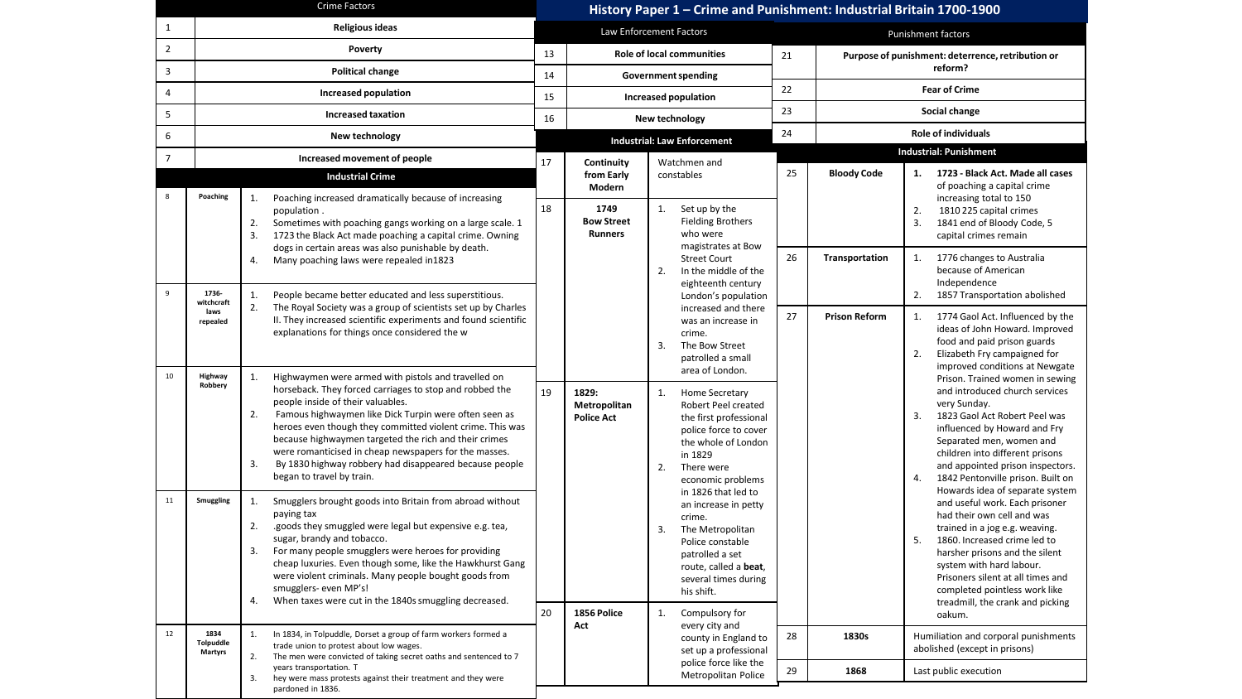| <b>Crime Factors</b>                   |                                                                                                                                                                                              |                                                                                                                                                                                                                                                                                                                                                                                                                                                       | History Paper 1 - Crime and Punishment: Industrial Britain 1700-1900 |                                             |                                                                                                                                                                                                         |    |                                                         |                                                                                                                                                                                                                                                                                                                                           |  |
|----------------------------------------|----------------------------------------------------------------------------------------------------------------------------------------------------------------------------------------------|-------------------------------------------------------------------------------------------------------------------------------------------------------------------------------------------------------------------------------------------------------------------------------------------------------------------------------------------------------------------------------------------------------------------------------------------------------|----------------------------------------------------------------------|---------------------------------------------|---------------------------------------------------------------------------------------------------------------------------------------------------------------------------------------------------------|----|---------------------------------------------------------|-------------------------------------------------------------------------------------------------------------------------------------------------------------------------------------------------------------------------------------------------------------------------------------------------------------------------------------------|--|
| <b>Religious ideas</b><br>$\mathbf{1}$ |                                                                                                                                                                                              |                                                                                                                                                                                                                                                                                                                                                                                                                                                       | Law Enforcement Factors                                              |                                             |                                                                                                                                                                                                         |    | Punishment factors                                      |                                                                                                                                                                                                                                                                                                                                           |  |
| $\overline{2}$                         | Poverty                                                                                                                                                                                      |                                                                                                                                                                                                                                                                                                                                                                                                                                                       |                                                                      | <b>Role of local communities</b><br>13      |                                                                                                                                                                                                         |    | 21<br>Purpose of punishment: deterrence, retribution or |                                                                                                                                                                                                                                                                                                                                           |  |
| 3                                      | <b>Political change</b>                                                                                                                                                                      |                                                                                                                                                                                                                                                                                                                                                                                                                                                       |                                                                      | <b>Government spending</b><br>14            |                                                                                                                                                                                                         |    | reform?<br>22                                           |                                                                                                                                                                                                                                                                                                                                           |  |
| 4                                      | Increased population                                                                                                                                                                         |                                                                                                                                                                                                                                                                                                                                                                                                                                                       |                                                                      | Increased population                        |                                                                                                                                                                                                         |    | <b>Fear of Crime</b>                                    |                                                                                                                                                                                                                                                                                                                                           |  |
| 5                                      |                                                                                                                                                                                              | <b>Increased taxation</b>                                                                                                                                                                                                                                                                                                                                                                                                                             | 16                                                                   | New technology                              |                                                                                                                                                                                                         |    | Social change                                           |                                                                                                                                                                                                                                                                                                                                           |  |
| 6                                      |                                                                                                                                                                                              | New technology                                                                                                                                                                                                                                                                                                                                                                                                                                        | <b>Industrial: Law Enforcement</b>                                   |                                             |                                                                                                                                                                                                         | 24 | <b>Role of individuals</b>                              |                                                                                                                                                                                                                                                                                                                                           |  |
| $\overline{7}$                         |                                                                                                                                                                                              | Increased movement of people                                                                                                                                                                                                                                                                                                                                                                                                                          | 17<br>Continuity                                                     |                                             | Watchmen and                                                                                                                                                                                            |    |                                                         | <b>Industrial: Punishment</b>                                                                                                                                                                                                                                                                                                             |  |
|                                        |                                                                                                                                                                                              | <b>Industrial Crime</b>                                                                                                                                                                                                                                                                                                                                                                                                                               |                                                                      | from Early<br>Modern                        | constables                                                                                                                                                                                              | 25 | <b>Bloody Code</b>                                      | 1723 - Black Act. Made all cases<br>1.<br>of poaching a capital crime                                                                                                                                                                                                                                                                     |  |
| 8                                      | Poaching                                                                                                                                                                                     | Poaching increased dramatically because of increasing<br>1.<br>population.<br>Sometimes with poaching gangs working on a large scale. 1<br>2.<br>3.<br>1723 the Black Act made poaching a capital crime. Owning<br>dogs in certain areas was also punishable by death.<br>Many poaching laws were repealed in1823<br>4.                                                                                                                               | 18                                                                   | 1749<br><b>Bow Street</b><br><b>Runners</b> | Set up by the<br>1.<br><b>Fielding Brothers</b><br>who were<br>magistrates at Bow<br><b>Street Court</b>                                                                                                | 26 | Transportation                                          | increasing total to 150<br>2.<br>1810 225 capital crimes<br>1841 end of Bloody Code, 5<br>3.<br>capital crimes remain<br>1776 changes to Australia<br>1.                                                                                                                                                                                  |  |
| 9                                      | 1736-<br>witchcraft<br>laws                                                                                                                                                                  | People became better educated and less superstitious.<br>1.<br>2.<br>The Royal Society was a group of scientists set up by Charles                                                                                                                                                                                                                                                                                                                    |                                                                      | 1829:<br>Metropolitan<br><b>Police Act</b>  | 2.<br>In the middle of the<br>eighteenth century<br>London's population<br>increased and there                                                                                                          |    |                                                         | because of American<br>Independence<br>1857 Transportation abolished<br>2.                                                                                                                                                                                                                                                                |  |
| 10                                     | repealed<br>Highway                                                                                                                                                                          | II. They increased scientific experiments and found scientific<br>explanations for things once considered the w<br>Highwaymen were armed with pistols and travelled on                                                                                                                                                                                                                                                                                |                                                                      |                                             | was an increase in<br>crime.<br>3.<br>The Bow Street<br>patrolled a small<br>area of London.                                                                                                            | 27 | <b>Prison Reform</b>                                    | 1774 Gaol Act. Influenced by the<br>1.<br>ideas of John Howard. Improved<br>food and paid prison guards<br>2.<br>Elizabeth Fry campaigned for<br>improved conditions at Newgate                                                                                                                                                           |  |
|                                        | Robbery                                                                                                                                                                                      | 1.<br>horseback. They forced carriages to stop and robbed the<br>people inside of their valuables.<br>2.<br>Famous highwaymen like Dick Turpin were often seen as<br>heroes even though they committed violent crime. This was<br>because highwaymen targeted the rich and their crimes<br>were romanticised in cheap newspapers for the masses.<br>3.<br>By 1830 highway robbery had disappeared because people<br>began to travel by train.         | 19                                                                   |                                             | <b>Home Secretary</b><br>1.<br>Robert Peel created<br>the first professional<br>police force to cover<br>the whole of London<br>in 1829<br>2.<br>There were<br>economic problems<br>in 1826 that led to |    |                                                         | Prison. Trained women in sewing<br>and introduced church services<br>very Sunday.<br>3.<br>1823 Gaol Act Robert Peel was<br>influenced by Howard and Fry<br>Separated men, women and<br>children into different prisons<br>and appointed prison inspectors.<br>1842 Pentonville prison. Built on<br>4.<br>Howards idea of separate system |  |
| 11                                     | Smuggling                                                                                                                                                                                    | 1.<br>Smugglers brought goods into Britain from abroad without<br>paying tax<br>2.<br>.goods they smuggled were legal but expensive e.g. tea,<br>sugar, brandy and tobacco.<br>For many people smugglers were heroes for providing<br>3.<br>cheap luxuries. Even though some, like the Hawkhurst Gang<br>were violent criminals. Many people bought goods from<br>smugglers-even MP's!<br>When taxes were cut in the 1840s smuggling decreased.<br>4. | 20                                                                   |                                             | an increase in petty<br>crime.<br>The Metropolitan<br>3.<br>Police constable<br>patrolled a set<br>route, called a beat,<br>several times during<br>his shift.                                          |    |                                                         | and useful work. Each prisoner<br>had their own cell and was<br>trained in a jog e.g. weaving.<br>1860. Increased crime led to<br>5.<br>harsher prisons and the silent<br>system with hard labour.<br>Prisoners silent at all times and<br>completed pointless work like<br>treadmill, the crank and picking                              |  |
| 12                                     | 1834<br>Tolpuddle<br><b>Martyrs</b>                                                                                                                                                          | In 1834, in Tolpuddle, Dorset a group of farm workers formed a<br>1.<br>trade union to protest about low wages.                                                                                                                                                                                                                                                                                                                                       |                                                                      | 1856 Police<br>Act                          | Compulsory for<br>1.<br>every city and<br>county in England to<br>set up a professional                                                                                                                 | 28 | 1830s                                                   | oakum.<br>Humiliation and corporal punishments<br>abolished (except in prisons)                                                                                                                                                                                                                                                           |  |
|                                        | The men were convicted of taking secret oaths and sentenced to 7<br>2.<br>years transportation. T<br>hey were mass protests against their treatment and they were<br>3.<br>pardoned in 1836. |                                                                                                                                                                                                                                                                                                                                                                                                                                                       |                                                                      |                                             | police force like the<br>Metropolitan Police                                                                                                                                                            | 29 | 1868                                                    | Last public execution                                                                                                                                                                                                                                                                                                                     |  |